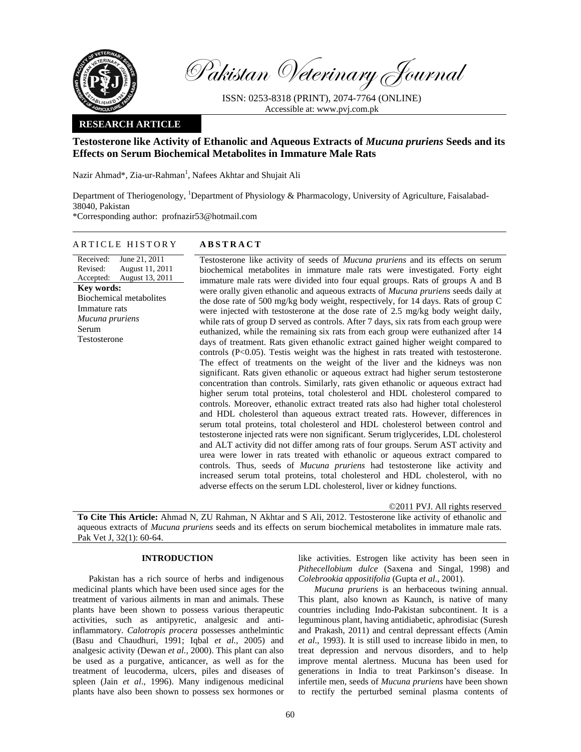

Pakistan Veterinary Journal

ISSN: 0253-8318 (PRINT), 2074-7764 (ONLINE) Accessible at: www.pvj.com.pk

# **RESEARCH ARTICLE**

# **Testosterone like Activity of Ethanolic and Aqueous Extracts of** *Mucuna pruriens* **Seeds and its Effects on Serum Biochemical Metabolites in Immature Male Rats**

Nazir Ahmad\*, Zia-ur-Rahman<sup>1</sup>, Nafees Akhtar and Shujait Ali

Department of Theriogenology, <sup>1</sup>Department of Physiology & Pharmacology, University of Agriculture, Faisalabad-38040, Pakistan \*Corresponding author: profnazir53@hotmail.com

# ARTICLE HISTORY **ABSTRACT**

Received: Revised: Accepted: June 21, 2011 August 11, 2011 August 13, 2011 **Key words:**  Biochemical metabolites Immature rats *Mucuna pruriens*  Serum Testosterone

Testosterone like activity of seeds of *Mucuna pruriens* and its effects on serum biochemical metabolites in immature male rats were investigated. Forty eight immature male rats were divided into four equal groups. Rats of groups A and B were orally given ethanolic and aqueous extracts of *Mucuna pruriens* seeds daily at the dose rate of 500 mg/kg body weight, respectively, for 14 days. Rats of group C were injected with testosterone at the dose rate of 2.5 mg/kg body weight daily, while rats of group D served as controls. After 7 days, six rats from each group were euthanized, while the remaining six rats from each group were euthanized after 14 days of treatment. Rats given ethanolic extract gained higher weight compared to controls (P<0.05). Testis weight was the highest in rats treated with testosterone. The effect of treatments on the weight of the liver and the kidneys was non significant. Rats given ethanolic or aqueous extract had higher serum testosterone concentration than controls. Similarly, rats given ethanolic or aqueous extract had higher serum total proteins, total cholesterol and HDL cholesterol compared to controls. Moreover, ethanolic extract treated rats also had higher total cholesterol and HDL cholesterol than aqueous extract treated rats. However, differences in serum total proteins, total cholesterol and HDL cholesterol between control and testosterone injected rats were non significant. Serum triglycerides, LDL cholesterol and ALT activity did not differ among rats of four groups. Serum AST activity and urea were lower in rats treated with ethanolic or aqueous extract compared to controls. Thus, seeds of *Mucuna pruriens* had testosterone like activity and increased serum total proteins, total cholesterol and HDL cholesterol, with no adverse effects on the serum LDL cholesterol, liver or kidney functions.

©2011 PVJ. All rights reserved

**To Cite This Article:** Ahmad N, ZU Rahman, N Akhtar and S Ali, 2012. Testosterone like activity of ethanolic and aqueous extracts of *Mucuna pruriens* seeds and its effects on serum biochemical metabolites in immature male rats. Pak Vet J, 32(1): 60-64.

# **INTRODUCTION**

Pakistan has a rich source of herbs and indigenous medicinal plants which have been used since ages for the treatment of various ailments in man and animals. These plants have been shown to possess various therapeutic activities, such as antipyretic, analgesic and antiinflammatory. *Calotropis procera* possesses anthelmintic (Basu and Chaudhuri, 1991; Iqbal *et al.,* 2005) and analgesic activity (Dewan *et al.,* 2000). This plant can also be used as a purgative, anticancer, as well as for the treatment of leucoderma, ulcers, piles and diseases of spleen (Jain *et al*., 1996). Many indigenous medicinal plants have also been shown to possess sex hormones or like activities. Estrogen like activity has been seen in *Pithecellobium dulce* (Saxena and Singal, 1998) and *Colebrookia appositifolia* (Gupta *et al*., 2001).

*Mucuna pruriens* is an herbaceous twining annual. This plant, also known as Kaunch, is native of many countries including Indo-Pakistan subcontinent. It is a leguminous plant, having antidiabetic, aphrodisiac (Suresh and Prakash, 2011) and central depressant effects (Amin *et al*., 1993). It is still used to increase libido in men, to treat depression and nervous disorders, and to help improve mental alertness. Mucuna has been used for generations in India to treat Parkinson's disease. In infertile men, seeds of *Mucuna pruriens* have been shown to rectify the perturbed seminal plasma contents of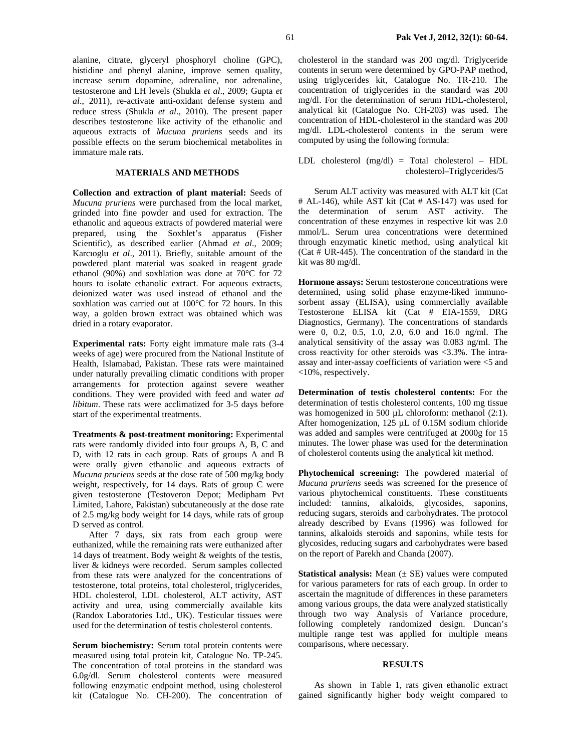alanine, citrate, glyceryl phosphoryl choline (GPC), histidine and phenyl alanine, improve semen quality, increase serum dopamine, adrenaline, nor adrenaline, testosterone and LH levels (Shukla *et al*., 2009; Gupta *et al*., 2011), re-activate anti-oxidant defense system and reduce stress (Shukla *et al*., 2010). The present paper describes testosterone like activity of the ethanolic and aqueous extracts of *Mucuna pruriens* seeds and its possible effects on the serum biochemical metabolites in immature male rats.

# **MATERIALS AND METHODS**

**Collection and extraction of plant material:** Seeds of *Mucuna pruriens* were purchased from the local market, grinded into fine powder and used for extraction. The ethanolic and aqueous extracts of powdered material were prepared, using the Soxhlet's apparatus (Fisher Scientific), as described earlier (Ahmad *et al*., 2009; Karcıoglu *et al*., 2011). Briefly, suitable amount of the powdered plant material was soaked in reagent grade ethanol (90%) and soxhlation was done at 70°C for 72 hours to isolate ethanolic extract. For aqueous extracts, deionized water was used instead of ethanol and the soxhlation was carried out at 100°C for 72 hours. In this way, a golden brown extract was obtained which was dried in a rotary evaporator.

**Experimental rats:** Forty eight immature male rats (3-4 weeks of age) were procured from the National Institute of Health, Islamabad, Pakistan. These rats were maintained under naturally prevailing climatic conditions with proper arrangements for protection against severe weather conditions. They were provided with feed and water *ad libitum*. These rats were acclimatized for 3-5 days before start of the experimental treatments.

**Treatments & post-treatment monitoring:** Experimental rats were randomly divided into four groups A, B, C and D, with 12 rats in each group. Rats of groups A and B were orally given ethanolic and aqueous extracts of *Mucuna pruriens* seeds at the dose rate of 500 mg/kg body weight, respectively, for 14 days. Rats of group C were given testosterone (Testoveron Depot; Medipham Pvt Limited, Lahore, Pakistan) subcutaneously at the dose rate of 2.5 mg/kg body weight for 14 days, while rats of group D served as control.

After 7 days, six rats from each group were euthanized, while the remaining rats were euthanized after 14 days of treatment. Body weight & weights of the testis, liver & kidneys were recorded. Serum samples collected from these rats were analyzed for the concentrations of testosterone, total proteins, total cholesterol, triglycerides, HDL cholesterol, LDL cholesterol, ALT activity, AST activity and urea, using commercially available kits (Randox Laboratories Ltd., UK). Testicular tissues were used for the determination of testis cholesterol contents.

**Serum biochemistry:** Serum total protein contents were measured using total protein kit, Catalogue No. TP-245. The concentration of total proteins in the standard was 6.0g/dl. Serum cholesterol contents were measured following enzymatic endpoint method, using cholesterol kit (Catalogue No. CH-200). The concentration of cholesterol in the standard was 200 mg/dl. Triglyceride contents in serum were determined by GPO-PAP method, using triglycerides kit, Catalogue No. TR-210. The concentration of triglycerides in the standard was 200 mg/dl. For the determination of serum HDL-cholesterol, analytical kit (Catalogue No. CH-203) was used. The concentration of HDL-cholesterol in the standard was 200 mg/dl. LDL-cholesterol contents in the serum were computed by using the following formula:

LDL cholesterol (mg/dl) = Total cholesterol – HDL cholesterol–Triglycerides/5

Serum ALT activity was measured with ALT kit (Cat # AL-146), while AST kit (Cat # AS-147) was used for the determination of serum AST activity. The concentration of these enzymes in respective kit was 2.0 mmol/L. Serum urea concentrations were determined through enzymatic kinetic method, using analytical kit (Cat # UR-445). The concentration of the standard in the kit was 80 mg/dl.

**Hormone assays:** Serum testosterone concentrations were determined, using solid phase enzyme-liked immunosorbent assay (ELISA), using commercially available Testosterone ELISA kit (Cat # EIA-1559, DRG Diagnostics, Germany). The concentrations of standards were 0, 0.2, 0.5, 1.0, 2.0, 6.0 and 16.0 ng/ml. The analytical sensitivity of the assay was 0.083 ng/ml. The cross reactivity for other steroids was <3.3%. The intraassay and inter-assay coefficients of variation were <5 and <10%, respectively.

**Determination of testis cholesterol contents:** For the determination of testis cholesterol contents, 100 mg tissue was homogenized in 500 µL chloroform: methanol (2:1). After homogenization, 125 µL of 0.15M sodium chloride was added and samples were centrifuged at 2000g for 15 minutes. The lower phase was used for the determination of cholesterol contents using the analytical kit method.

**Phytochemical screening:** The powdered material of *Mucuna pruriens* seeds was screened for the presence of various phytochemical constituents. These constituents included: tannins, alkaloids, glycosides, saponins, reducing sugars, steroids and carbohydrates. The protocol already described by Evans (1996) was followed for tannins, alkaloids steroids and saponins, while tests for glycosides, reducing sugars and carbohydrates were based on the report of Parekh and Chanda (2007).

**Statistical analysis:** Mean ( $\pm$  SE) values were computed for various parameters for rats of each group. In order to ascertain the magnitude of differences in these parameters among various groups, the data were analyzed statistically through two way Analysis of Variance procedure, following completely randomized design. Duncan's multiple range test was applied for multiple means comparisons, where necessary.

#### **RESULTS**

As shown in Table 1, rats given ethanolic extract gained significantly higher body weight compared to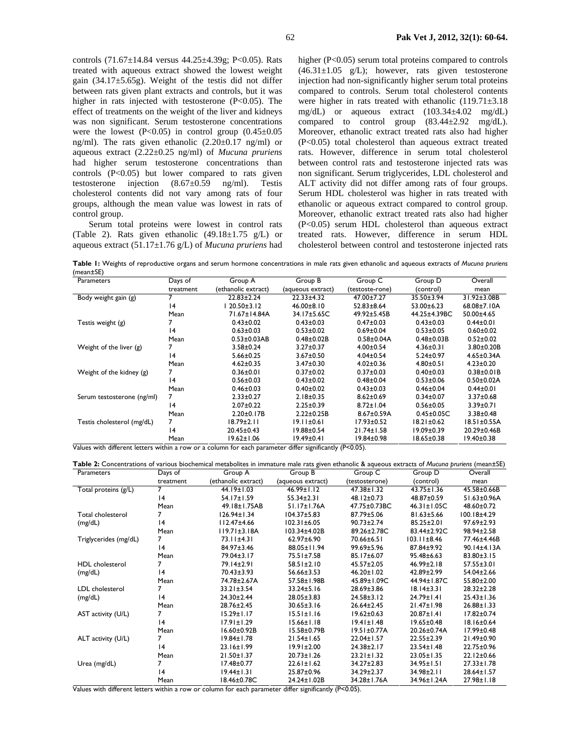controls (71.67±14.84 versus 44.25±4.39g; P<0.05). Rats treated with aqueous extract showed the lowest weight gain  $(34.17\pm5.65g)$ . Weight of the testis did not differ between rats given plant extracts and controls, but it was higher in rats injected with testosterone  $(P<0.05)$ . The effect of treatments on the weight of the liver and kidneys was non significant. Serum testosterone concentrations were the lowest  $(P<0.05)$  in control group  $(0.45\pm0.05)$ ng/ml). The rats given ethanolic (2.20±0.17 ng/ml) or aqueous extract (2.22±0.25 ng/ml) of *Mucuna pruriens* had higher serum testosterone concentrations than controls  $(P<0.05)$  but lower compared to rats given testosterone injection (8.67±0.59 ng/ml). Testis cholesterol contents did not vary among rats of four groups, although the mean value was lowest in rats of control group.

Serum total proteins were lowest in control rats (Table 2). Rats given ethanolic (49.18±1.75 g/L) or aqueous extract (51.17±1.76 g/L) of *Mucuna pruriens* had higher (P<0.05) serum total proteins compared to controls  $(46.31 \pm 1.05 \text{ g/L})$ ; however, rats given testosterone injection had non-significantly higher serum total proteins compared to controls. Serum total cholesterol contents were higher in rats treated with ethanolic (119.71±3.18 mg/dL) or aqueous extract (103.34±4.02 mg/dL) compared to control group (83.44±2.92 mg/dL). Moreover, ethanolic extract treated rats also had higher (P<0.05) total cholesterol than aqueous extract treated rats. However, difference in serum total cholesterol between control rats and testosterone injected rats was non significant. Serum triglycerides, LDL cholesterol and ALT activity did not differ among rats of four groups. Serum HDL cholesterol was higher in rats treated with ethanolic or aqueous extract compared to control group. Moreover, ethanolic extract treated rats also had higher (P<0.05) serum HDL cholesterol than aqueous extract treated rats. However, difference in serum HDL cholesterol between control and testosterone injected rats

**Table 1:** Weights of reproductive organs and serum hormone concentrations in male rats given ethanolic and aqueous extracts of *Mucuna pruriens*  $(m_{\text{e2D}} + \text{SE})$ 

| 10041200                   |           |                     |                   |                   |                   |                   |
|----------------------------|-----------|---------------------|-------------------|-------------------|-------------------|-------------------|
| Parameters                 | Days of   | Group A             | Group B           | Group C           | Group D           | Overall           |
|                            | treatment | (ethanolic extract) | (aqueous extract) | (testoste-rone)   | (control)         | mean              |
| Body weight gain (g)       |           | $22.83 \pm 2.24$    | $22.33 + 4.32$    | 47.00±7.27        | 35.50±3.94        | 31.92±3.08B       |
|                            | 14        | $20.50 \pm 3.12$    | $46.00 \pm 8.10$  | 52.83±8.64        | $53.00 \pm 6.23$  | 68.08±7.10A       |
|                            | Mean      | 71.67±14.84A        | 34.17±5.65C       | 49.92±5.45B       | 44.25±4.39BC      | 50.00±4.65        |
| Testis weight (g)          |           | $0.43 \pm 0.02$     | $0.43 \pm 0.03$   | $0.47 \pm 0.03$   | $0.43 \pm 0.03$   | $0.44 \pm 0.01$   |
|                            | 4         | $0.63 \pm 0.03$     | $0.53 \pm 0.02$   | $0.69 \pm 0.04$   | $0.53 \pm 0.05$   | $0.60 \pm 0.02$   |
|                            | Mean      | $0.53 \pm 0.03$ AB  | $0.48 \pm 0.02B$  | $0.58 \pm 0.04$ A | $0.48 \pm 0.03 B$ | $0.52 \pm 0.02$   |
| Weight of the liver (g)    |           | $3.58 \pm 0.24$     | $3.27 \pm 0.37$   | $4.00 \pm 0.54$   | $4.36 \pm 0.31$   | $3.80 \pm 0.20 B$ |
|                            | 14        | $5.66 \pm 0.25$     | 3.67±0.50         | $4.04 \pm 0.54$   | $5.24 \pm 0.97$   | $4.65 \pm 0.34$ A |
|                            | Mean      | $4.62 \pm 0.35$     | 3.47±0.30         | $4.02 \pm 0.36$   | $4.80 \pm 0.51$   | $4.23 \pm 0.20$   |
| Weight of the kidney (g)   |           | $0.36 \pm 0.01$     | $0.37 \pm 0.02$   | $0.37 \pm 0.03$   | $0.40 \pm 0.03$   | $0.38 \pm 0.01 B$ |
|                            | 4         | $0.56 \pm 0.03$     | $0.43 + 0.02$     | $0.48 + 0.04$     | $0.53 \pm 0.06$   | $0.50 \pm 0.02$ A |
|                            | Mean      | $0.46 \pm 0.03$     | $0.40 \pm 0.02$   | $0.43 \pm 0.03$   | $0.46 \pm 0.04$   | $0.44 \pm 0.01$   |
| Serum testosterone (ng/ml) |           | $2.33 \pm 0.27$     | $2.18 \pm 0.35$   | $8.62 \pm 0.69$   | $0.34 \pm 0.07$   | $3.37 \pm 0.68$   |
|                            | 14        | $2.07 \pm 0.22$     | $2.25 \pm 0.39$   | $8.72 \pm 1.04$   | $0.56 \pm 0.05$   | $3.39 \pm 0.71$   |
|                            | Mean      | $2.20 \pm 0.17B$    | $2.22 \pm 0.25B$  | $8.67 \pm 0.59$ A | $0.45 \pm 0.05C$  | $3.38 \pm 0.48$   |
| Testis cholesterol (mg/dL) | 7         | 18.79±2.11          | 19.11±0.61        | 17.93±0.52        | $18.21 \pm 0.62$  | $18.51 \pm 0.55A$ |
|                            | 14        | 20.45±0.43          | 19.88±0.54        | $21.74 \pm 1.58$  | 19.09±0.39        | 20.29±0.46B       |
|                            | Mean      | 19.62±1.06          | 19.49±0.41        | 19.84±0.98        | 18.65±0.38        | 19.40±0.38        |
|                            |           |                     |                   |                   |                   |                   |

Values with different letters within a row or a column for each parameter differ significantly (P<0.05).

| Table 2: Concentrations of various biochemical metabolites in immature male rats given ethanolic & aqueous extracts of Mucuna pruriens (mean±SE) |                |                     |                   |                   |                   |                    |  |  |
|--------------------------------------------------------------------------------------------------------------------------------------------------|----------------|---------------------|-------------------|-------------------|-------------------|--------------------|--|--|
| Parameters                                                                                                                                       | Days of        | Group A             | Group B           | Group C           | Group D           | Overall            |  |  |
|                                                                                                                                                  | treatment      | (ethanolic extract) | (aqueous extract) | (testosterone)    | (control)         | mean               |  |  |
| Total proteins (g/L)                                                                                                                             | 7              | $44.19 \pm 1.03$    | $46.99 \pm 1.12$  | $47.38 \pm 1.32$  | $43.75 \pm 1.36$  | 45.58±0.66B        |  |  |
|                                                                                                                                                  | 4              | 54.17±1.59          | $55.34 \pm 2.31$  | 48.12±0.73        | 48.87±0.59        | 51.63±0.96A        |  |  |
|                                                                                                                                                  | Mean           | 49.18±1.75AB        | 51.17±1.76A       | 47.75±0.73BC      | $46.31 \pm 1.05C$ | 48.60±0.72         |  |  |
| Total cholesterol                                                                                                                                |                | $126.94 \pm 1.34$   | $104.37 \pm 5.83$ | $87.79 \pm 5.06$  | $81.63 \pm 5.66$  | $100.18 + 4.29$    |  |  |
| (mg/dL)                                                                                                                                          | 4              | $112.47 \pm 4.66$   | $102.31 \pm 6.05$ | $90.73 \pm 2.74$  | 85.25±2.01        | 97.69±2.93         |  |  |
|                                                                                                                                                  | Mean           | $119.71 \pm 3.18$ A | 103.34±4.02B      | 89.26±2.78C       | 83.44±2.92C       | 98.94±2.58         |  |  |
| Triglycerides (mg/dL)                                                                                                                            | $\overline{7}$ | 73.11±4.31          | 62.97±6.90        | 70.66±6.51        | $103.11 \pm 8.46$ | 77.46±4.46B        |  |  |
|                                                                                                                                                  | 4              | $84.97 \pm 3.46$    | 88.05±11.94       | $99.69 \pm 5.96$  | 87.84±9.92        | $90.14 \pm 4.13$ A |  |  |
|                                                                                                                                                  | Mean           | 79.04±3.17          | 75.51±7.58        | 85.17±6.07        | 95.48±6.63        | 83.80±3.15         |  |  |
| <b>HDL</b> cholesterol                                                                                                                           | 7              | 79.14±2.91          | $58.51 \pm 2.10$  | $45.57 \pm 2.05$  | $46.99 \pm 2.18$  | 57.55±3.01         |  |  |
| (mg/dL)                                                                                                                                          | 4              | $70.43 \pm 3.93$    | $56.66 \pm 3.53$  | $46.20 \pm 1.02$  | 42.89±2.99        | 54.04±2.66         |  |  |
|                                                                                                                                                  | Mean           | 74.78±2.67A         | 57.58±1.98B       | 45.89±1.09C       | 44.94±1.87C       | 55.80±2.00         |  |  |
| <b>LDL</b> cholesterol                                                                                                                           | 7              | $33.21 \pm 3.54$    | 33.24±5.16        | 28.69±3.86        | $18.14 \pm 3.31$  | $28.32 \pm 2.28$   |  |  |
| (mg/dL)                                                                                                                                          | 14             | 24.30±2.44          | $28.05 \pm 3.83$  | $24.58 \pm 3.12$  | 24.79±1.41        | $25.43 \pm 1.36$   |  |  |
|                                                                                                                                                  | Mean           | 28.76±2.45          | $30.65 \pm 3.16$  | $26.64 \pm 2.45$  | $21.47 \pm 1.98$  | $26.88 \pm 1.33$   |  |  |
| AST activity (U/L)                                                                                                                               | 7              | $15.29 \pm 1.17$    | $15.51 \pm 1.16$  | $19.62 \pm 0.63$  | $20.87 \pm 1.41$  | 17.82±0.74         |  |  |
|                                                                                                                                                  | 4              | $17.91 \pm 1.29$    | $15.66 \pm 1.18$  | $19.41 \pm 1.48$  | $19.65 \pm 0.48$  | 18.16±0.64         |  |  |
|                                                                                                                                                  | Mean           | 16.60±0.92B         | 15.58±0.79B       | $19.51 \pm 0.77A$ | 20.26±0.74A       | $17.99 \pm 0.48$   |  |  |
| ALT activity (U/L)                                                                                                                               | 7              | $19.84 \pm 1.78$    | $21.54 \pm 1.65$  | 22.04±1.57        | $22.55 \pm 2.39$  | 21.49±0.90         |  |  |
|                                                                                                                                                  | 4              | 23.16±1.99          | $19.91 \pm 2.00$  | $24.38 \pm 2.17$  | $23.54 \pm 1.48$  | 22.75±0.96         |  |  |
|                                                                                                                                                  | Mean           | $21.50 \pm 1.37$    | $20.73 \pm 1.26$  | $23.21 \pm 1.32$  | $23.05 \pm 1.35$  | 22.12±0.66         |  |  |
| Urea (mg/dL)                                                                                                                                     |                | 17.48±0.77          | $22.61 \pm 1.62$  | 34.27±2.83        | 34.95±1.51        | $27.33 \pm 1.78$   |  |  |
|                                                                                                                                                  | 4              | $19.44 \pm 1.31$    | 25.87±0.96        | 34.29±2.37        | 34.98±2.11        | 28.64±1.57         |  |  |
|                                                                                                                                                  | Mean           | 18.46±0.78C         | 24.24±1.02B       | 34.28±1.76A       | 34.96±1.24A       | 27.98±1.18         |  |  |

Values with different letters within a row or column for each parameter differ significantly (P<0.05).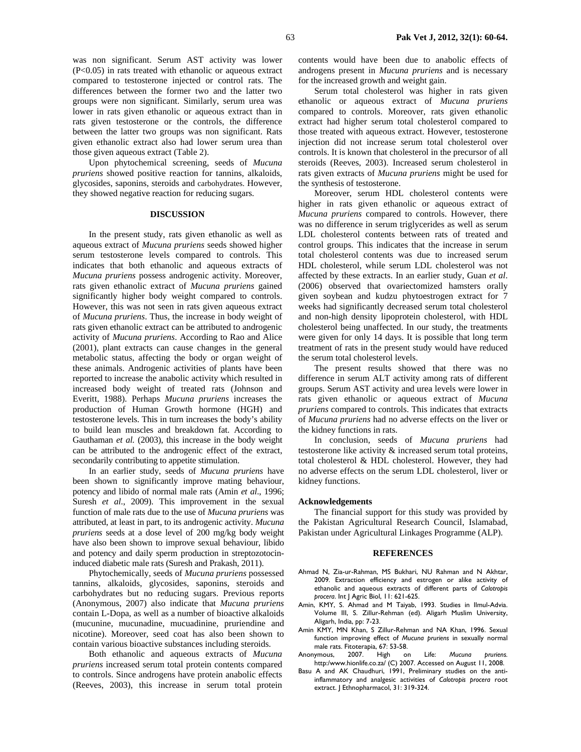was non significant. Serum AST activity was lower (P<0.05) in rats treated with ethanolic or aqueous extract compared to testosterone injected or control rats. The differences between the former two and the latter two groups were non significant. Similarly, serum urea was lower in rats given ethanolic or aqueous extract than in rats given testosterone or the controls, the difference between the latter two groups was non significant. Rats given ethanolic extract also had lower serum urea than those given aqueous extract (Table 2).

Upon phytochemical screening, seeds of *Mucuna pruriens* showed positive reaction for tannins, alkaloids, glycosides, saponins, steroids and carbohydrates. However, they showed negative reaction for reducing sugars.

### **DISCUSSION**

In the present study, rats given ethanolic as well as aqueous extract of *Mucuna pruriens* seeds showed higher serum testosterone levels compared to controls. This indicates that both ethanolic and aqueous extracts of *Mucuna pruriens* possess androgenic activity. Moreover, rats given ethanolic extract of *Mucuna pruriens* gained significantly higher body weight compared to controls. However, this was not seen in rats given aqueous extract of *Mucuna pruriens*. Thus, the increase in body weight of rats given ethanolic extract can be attributed to androgenic activity of *Mucuna pruriens*. According to Rao and Alice (2001), plant extracts can cause changes in the general metabolic status, affecting the body or organ weight of these animals. Androgenic activities of plants have been reported to increase the anabolic activity which resulted in increased body weight of treated rats (Johnson and Everitt, 1988). Perhaps *Mucuna pruriens* increases the production of Human Growth hormone (HGH) and testosterone levels. This in turn increases the body's ability to build lean muscles and breakdown fat. According to Gauthaman *et al.* (2003), this increase in the body weight can be attributed to the androgenic effect of the extract, secondarily contributing to appetite stimulation.

In an earlier study, seeds of *Mucuna pruriens* have been shown to significantly improve mating behaviour, potency and libido of normal male rats (Amin *et al*., 1996; Suresh *et al.*, 2009). This improvement in the sexual function of male rats due to the use of *Mucuna pruriens* was attributed, at least in part, to its androgenic activity. *Mucuna pruriens* seeds at a dose level of 200 mg/kg body weight have also been shown to improve sexual behaviour, libido and potency and daily sperm production in streptozotocininduced diabetic male rats (Suresh and Prakash, 2011).

Phytochemically, seeds of *Mucuna pruriens* possessed tannins, alkaloids, glycosides, saponins, steroids and carbohydrates but no reducing sugars. Previous reports (Anonymous, 2007) also indicate that *Mucuna pruriens* contain L-Dopa, as well as a number of bioactive alkaloids (mucunine, mucunadine, mucuadinine, pruriendine and nicotine). Moreover, seed coat has also been shown to contain various bioactive substances including steroids.

Both ethanolic and aqueous extracts of *Mucuna pruriens* increased serum total protein contents compared to controls. Since androgens have protein anabolic effects (Reeves, 2003), this increase in serum total protein contents would have been due to anabolic effects of androgens present in *Mucuna pruriens* and is necessary for the increased growth and weight gain.

Serum total cholesterol was higher in rats given ethanolic or aqueous extract of *Mucuna pruriens* compared to controls. Moreover, rats given ethanolic extract had higher serum total cholesterol compared to those treated with aqueous extract. However, testosterone injection did not increase serum total cholesterol over controls. It is known that cholesterol in the precursor of all steroids (Reeves, 2003). Increased serum cholesterol in rats given extracts of *Mucuna pruriens* might be used for the synthesis of testosterone.

Moreover, serum HDL cholesterol contents were higher in rats given ethanolic or aqueous extract of *Mucuna pruriens* compared to controls. However, there was no difference in serum triglycerides as well as serum LDL cholesterol contents between rats of treated and control groups. This indicates that the increase in serum total cholesterol contents was due to increased serum HDL cholesterol, while serum LDL cholesterol was not affected by these extracts. In an earlier study, Guan *et al*. (2006) observed that ovariectomized hamsters orally given soybean and kudzu phytoestrogen extract for 7 weeks had significantly decreased serum total cholesterol and non-high density lipoprotein cholesterol, with HDL cholesterol being unaffected. In our study, the treatments were given for only 14 days. It is possible that long term treatment of rats in the present study would have reduced the serum total cholesterol levels.

The present results showed that there was no difference in serum ALT activity among rats of different groups. Serum AST activity and urea levels were lower in rats given ethanolic or aqueous extract of *Mucuna pruriens* compared to controls. This indicates that extracts of *Mucuna pruriens* had no adverse effects on the liver or the kidney functions in rats.

In conclusion, seeds of *Mucuna pruriens* had testosterone like activity & increased serum total proteins, total cholesterol & HDL cholesterol. However, they had no adverse effects on the serum LDL cholesterol, liver or kidney functions.

### **Acknowledgements**

The financial support for this study was provided by the Pakistan Agricultural Research Council, Islamabad, Pakistan under Agricultural Linkages Programme (ALP).

#### **REFERENCES**

- Ahmad N, Zia-ur-Rahman, MS Bukhari, NU Rahman and N Akhtar, 2009. Extraction efficiency and estrogen or alike activity of ethanolic and aqueous extracts of different parts of *Calotropis procera*. Int J Agric Biol, 11: 621-625.
- Amin, KMY, S. Ahmad and M Taiyab, 1993. Studies in Ilmul-Advia. Volume III, S. Zillur-Rehman (ed). Aligarh Muslim University, Aligarh, India, pp: 7-23.
- Amin KMY, MN Khan, S Zillur-Rehman and NA Khan, 1996. Sexual function improving effect of *Mucuna pruriens* in sexually normal male rats. Fitoterapia, 67: 53-58.
- Anonymous, 2007. High on Life: *Mucuna pruriens.* http:/www.hionlife.co.za/ (C) 2007. Accessed on August 11, 2008.
- Basu A and AK Chaudhuri, 1991, Preliminary studies on the antiinflammatory and analgesic activities of *Calotropis procera* root extract. J Ethnopharmacol, 31: 319-324.